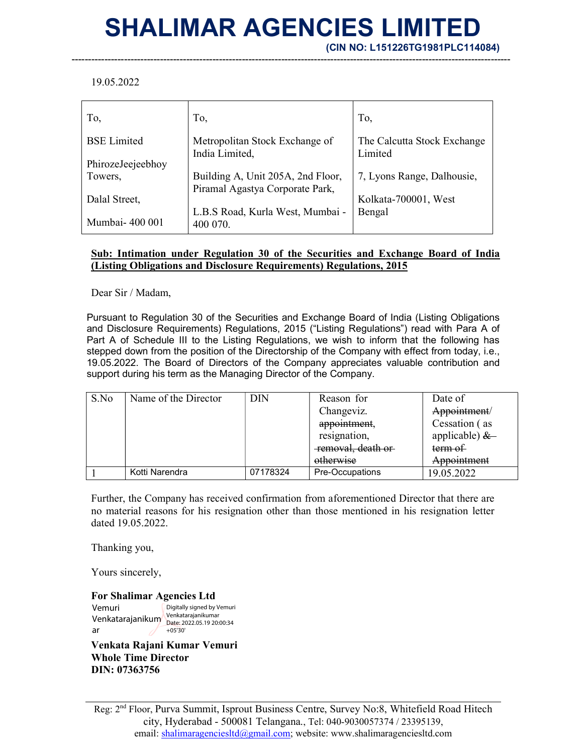## SHALIMAR AGENCIES LIMITED

--------------------------------------------------------------------------------------------------------------------------------------

(CIN NO: L151226TG1981PLC114084)

19.05.2022

| To,                | To,                                              | To,                                    |
|--------------------|--------------------------------------------------|----------------------------------------|
| <b>BSE</b> Limited | Metropolitan Stock Exchange of<br>India Limited, | The Calcutta Stock Exchange<br>Limited |
| PhirozeJeejeebhoy  |                                                  |                                        |
| Towers,            | Building A, Unit 205A, 2nd Floor,                | 7, Lyons Range, Dalhousie,             |
|                    | Piramal Agastya Corporate Park,                  |                                        |
| Dalal Street,      |                                                  | Kolkata-700001, West                   |
|                    | L.B.S Road, Kurla West, Mumbai -                 | Bengal                                 |
| Mumbai- 400 001    | 400 070.                                         |                                        |

## Sub: Intimation under Regulation 30 of the Securities and Exchange Board of India (Listing Obligations and Disclosure Requirements) Regulations, 2015

Dear Sir / Madam,

Pursuant to Regulation 30 of the Securities and Exchange Board of India (Listing Obligations and Disclosure Requirements) Regulations, 2015 ("Listing Regulations") read with Para A of Part A of Schedule III to the Listing Regulations, we wish to inform that the following has stepped down from the position of the Directorship of the Company with effect from today, i.e., 19.05.2022. The Board of Directors of the Company appreciates valuable contribution and support during his term as the Managing Director of the Company.

| S.No | Name of the Director | <b>DIN</b> | Reason for          | Date of         |
|------|----------------------|------------|---------------------|-----------------|
|      |                      |            | Changeviz.          | Appointment/    |
|      |                      |            | appointment,        | Cessation (as   |
|      |                      |            | resignation,        | applicable) $&$ |
|      |                      |            | -removal, death or- | term of         |
|      |                      |            | otherwise           | Appointment     |
|      | Kotti Narendra       | 07178324   | Pre-Occupations     | 19.05.2022      |

Further, the Company has received confirmation from aforementioned Director that there are no material reasons for his resignation other than those mentioned in his resignation letter dated 19.05.2022.

Thanking you,

Yours sincerely,

For Shalimar Agencies Ltd Vemuri Venkatarajanikum ar Digitally signed by Vemuri Venkatarajanikumar Date: 2022.05.19 20:00:34 +05'30'

Venkata Rajani Kumar Vemuri Whole Time Director DIN: 07363756

Reg: 2nd Floor, Purva Summit, Isprout Business Centre, Survey No:8, Whitefield Road Hitech city, Hyderabad - 500081 Telangana., Tel: 040-9030057374 / 23395139, email: shalimaragenciesltd@gmail.com; website: www.shalimaragenciesltd.com